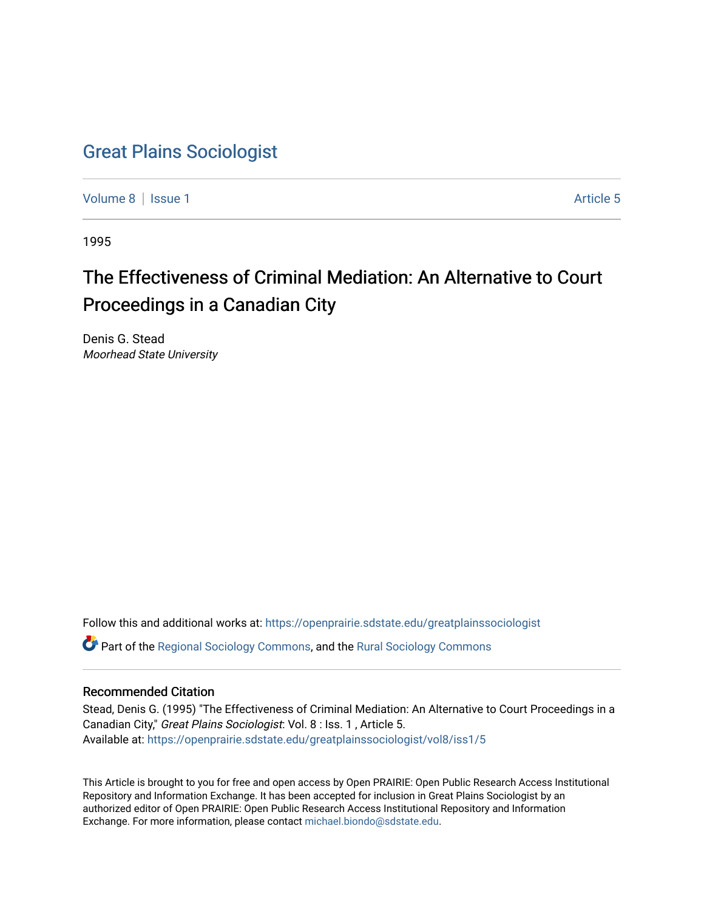# [Great Plains Sociologist](https://openprairie.sdstate.edu/greatplainssociologist)

[Volume 8](https://openprairie.sdstate.edu/greatplainssociologist/vol8) | [Issue 1](https://openprairie.sdstate.edu/greatplainssociologist/vol8/iss1) Article 5

1995

# The Effectiveness of Criminal Mediation: An Alternative to Court Proceedings in a Canadian City

Denis G. Stead Moorhead State University

Follow this and additional works at: [https://openprairie.sdstate.edu/greatplainssociologist](https://openprairie.sdstate.edu/greatplainssociologist?utm_source=openprairie.sdstate.edu%2Fgreatplainssociologist%2Fvol8%2Fiss1%2F5&utm_medium=PDF&utm_campaign=PDFCoverPages) 

Part of the [Regional Sociology Commons](http://network.bepress.com/hgg/discipline/427?utm_source=openprairie.sdstate.edu%2Fgreatplainssociologist%2Fvol8%2Fiss1%2F5&utm_medium=PDF&utm_campaign=PDFCoverPages), and the [Rural Sociology Commons](http://network.bepress.com/hgg/discipline/428?utm_source=openprairie.sdstate.edu%2Fgreatplainssociologist%2Fvol8%2Fiss1%2F5&utm_medium=PDF&utm_campaign=PDFCoverPages) 

### Recommended Citation

Stead, Denis G. (1995) "The Effectiveness of Criminal Mediation: An Alternative to Court Proceedings in a Canadian City," Great Plains Sociologist: Vol. 8 : Iss. 1 , Article 5. Available at: [https://openprairie.sdstate.edu/greatplainssociologist/vol8/iss1/5](https://openprairie.sdstate.edu/greatplainssociologist/vol8/iss1/5?utm_source=openprairie.sdstate.edu%2Fgreatplainssociologist%2Fvol8%2Fiss1%2F5&utm_medium=PDF&utm_campaign=PDFCoverPages) 

This Article is brought to you for free and open access by Open PRAIRIE: Open Public Research Access Institutional Repository and Information Exchange. It has been accepted for inclusion in Great Plains Sociologist by an authorized editor of Open PRAIRIE: Open Public Research Access Institutional Repository and Information Exchange. For more information, please contact [michael.biondo@sdstate.edu.](mailto:michael.biondo@sdstate.edu)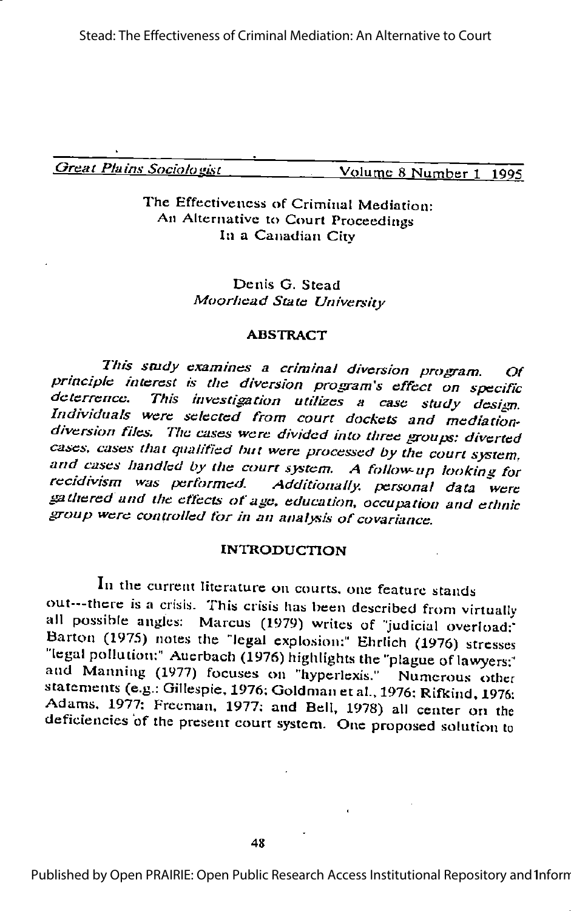Great Plains Sociologist Volume 8 Number 1 1995

#### The Effectiveness of Criminal Mediation: An Alternative to Court Proceedings In a Canadian Citv

#### Denis G. Stead Moorhead State University

#### ABSTRACT

This study examines a criminal diversion program. Of principle interest is the diversion program's effect on specific<br>deterrence. This investigation utilizes a case study design.<br>Individuals were selected from court dockets and mediationdiversion files. The cases were divided into three groups: diverted cases, cases that qualified hut were processed by the court system, and cases handled by the courtsystem. <sup>A</sup> follow-up looking for recidivism was performed. Additionally, personal data were gathered and the effects of age, education, occupation and ethnic group were controlled for in an analysis of covariance.

#### INTRODUCTION

In the current literature on courts, one feature stands out---thcre is a crisis. This crisis lias been described from virtuallv all possible angles: Marcus (1979) writes of "judicial overload: Barton (1975) notes the "legal explosion:" Ehrlich (1976) stresses "legal pollution:" Auerbach (1976) highlights the "plague of lawyers;" and Manning (1977) focuses on "hyperlexis." Numerous other statements (e.g.: Gillespie, 1976; Goldman et al., 1976; Rifkind, 1976; Adams. 1977: Freeman, 1977; and Bell, 1978) all center on the deficiencies of the present court system. One proposed solution to

Published by Open PRAIRIE: Open Public Research Access Institutional Repository and Inform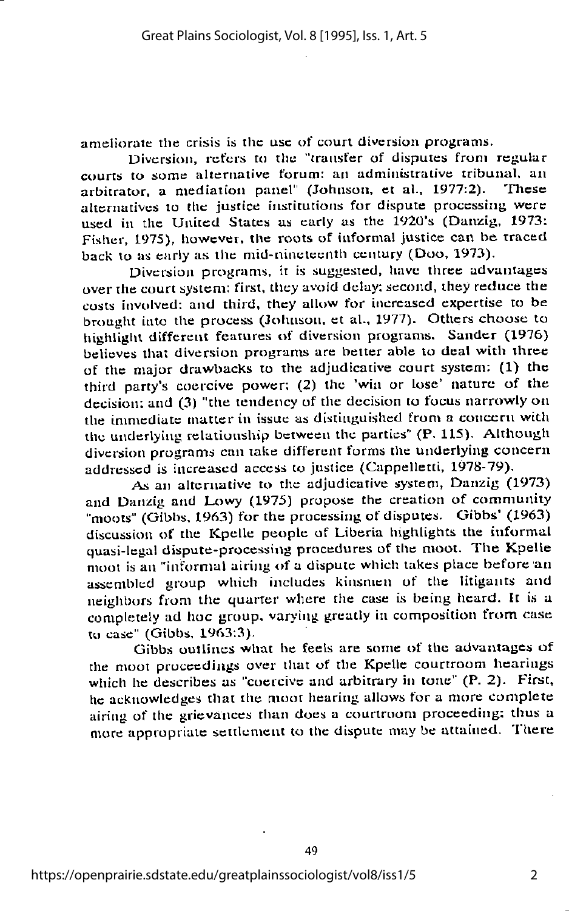ameliorate the crisis is the use of court diversion programs.

Diversion, refers to the "transfer of disputes from regular courts to some alternative forum: an administrative tribunal, an arbitrator a mediation panel. (Johnson, et al., 1977:2). These arbitrator, a mediation panel" (Johnson, et al., 1977:2). alternatives to the justice institutions for dispute processing were used in the United States as early as the 1920's (Danzig, 1973: Fisher, 1975), however, the roots of informal justice can be traced back to as early as the mid-nineteenth century (Doo, 1973).

Diversion programs, it is suggested, have three advantages over the court system: first, tliey avoid delay: second, they reduce the costs involved: and third, they allow for increased expertise to be brought into the process (Johnson, et al., 1977). Others choose to highlight different features of diversion programs. Sander (1976) believes that diversion programs are better able to deal with three of the major drawbacks to tlie adjudicative court system: (1) the third party's coercive power; (2) the 'win or lose' nature of the decision: and (3) "the tendency of the decision to focus narrowly on the immediate matter in issue as distinguished from a concern with the underlying relationship between the parties" (P. 115). Although diversion programs can take different forms the underlying concern addressed is increased access to justice (Cappelletti, 1978-79).

As an alternative to the adjudicative system, Danzig (1973) and Danzig and Lowy (1975) propose the creation of community "moots" (Gibbs, 1963) for the processing of disputes. Gibbs' (1963) discussion of the Kpelle people of Liberia highlights the informal quasi-legal dispute-processing procedures of the moot. The Kpelle moot is an "informal airijig of a dispute which takes place before an assembled group which includes kinsmen of the litigants and neighbors from the quarter where the case is being heard. It is a completely ad hoc group, varying greatly in composition from case to case" (Gibbs,  $1963:3$ ).

Gibbs outlines what he feels are some of the advantages of the moot proceedings over that of the Kpelle courtroom hearings which he describes as "coercive and arbitrary in tone" (P. 2). First, he acknowledges that the moot hearing allows for a more complete airing of the grievances than does a courtroom proceeding: thus a more appropriate settlement to the dispute may be attained. There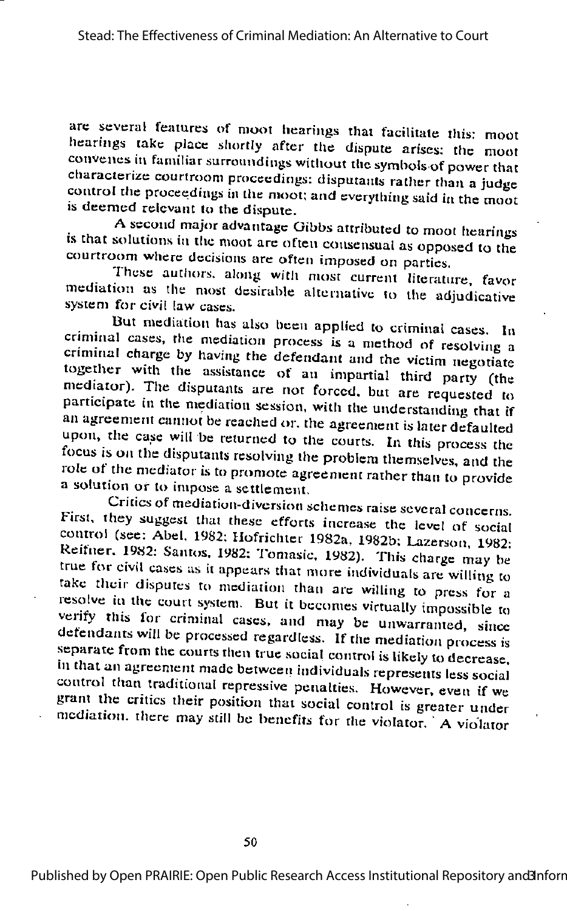arc several feaiures of moot hearings thai facilitate this: moot hearings take place shortly after the dispute arises; the moot convenes in familiar surroundings without the symbols of power that characterize courtroom proceedings: disputants rather than ajudge control the proceedings in the moot: and everything said in the moot is deemed relevant to the dispute.

Asecond major advantage Gibbs attributed to moot hearings is that solutions in the moot are often consensual as opposed to the courtroom where decisions are often imposed on parties.<br>Ihese authors, along with most current literature, favor

mediation as the most desirable alternative to the adjudicative system for civil law cases.

But mediation has also been applied to criminal cases. In criminal cases, the mediation process is a method of resolving a criminal charge by having the defendant and the victim negotiate together with the assistance of an impartial third party (the mcdraior). The disputants are not forced, but are requested to participate in the mediation session, with the understanding that if an agreement cannot be reached or, the agreement is later defaulted upon, the case will be returned to the courts. In this process the focus is on the disputants resolving the problem themselves, and the role of the mediator is to promote agreement rather than to provide a solution or to impose a settlement.

Critics of mediation-diversion schemes raise several concerns. First, they suggest that these efforts increase the level of social control (see: Abel. 1982; Hofrichter 1982a, 1982b; Lazerson, 1982: Reifner. 1982: Santos, 1982; Tomasic, 1982). This charge may be true for civil cases as it appears that more individuals are willing to take their disputes to mediation than are willing to press for a resolve in the court system. But it becomes virtually impossible to verify this for criminal cases, and may be unwarranted, since defendants will be processed regardless. If tlie mediation process is separate from the courts then true social control is likely to decrease, <sup>111</sup> that an agreement made between individuals represents less social' control titan traditional repressive penalties. However, even if we grant the critics their position that social control is greater under mediation, there may still be benefits for the violator. A violator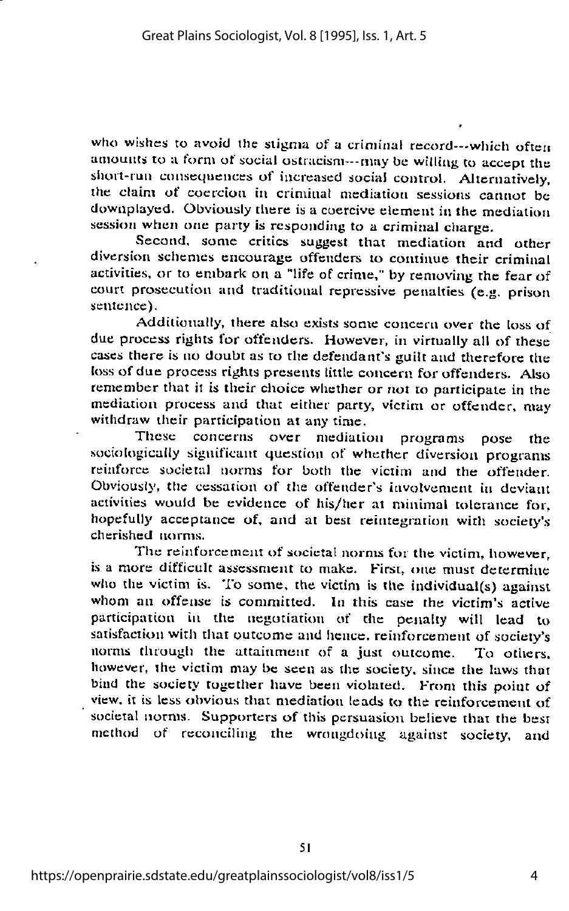who wishes to avoid the stigma of a criminal record---which often amounts to a form of social ostracism—may be willing to accept the sliort-run consequences of increased social control. Alternatively, the claim of coercion in criminal mediation sessions cannot be downplayed. Obviously there is a coercive element in the mediation session when one party is responding to a criminal charge.

Second, some critics suggest that mediation and other diversion schemes encourage offenders to continue their criminal activities, or to embark on  $\overline{a}$  "life of crime," by removing the fear of court prosecution and traditional repressive penalties (e.g. prison sentence).

Additionally, there also exists some concern over the loss of due process rights for offenders. However, in virtually all of these cases there is no doubt as to the defendant's guilt and therefore the loss of due process rights presents little concern for offenders. Also remember that it is their choice whether or not to participate in the mediation process and that either party, victim or offender, may withdraw their participation at any time.

These concerns over mediation programs pose the sociologically significant question of whether diversion programs reinforce societal norms for both the victim and the offender. Obviously, the cessation of the offender's involvement in deviant activities would be evidence of his/her at minimal tolerance for, hopefully acceptance of, and at best reintegration with society's cherished norms.

The reinforcement of societal norms for the victim, however, is a more difficult assessment to make. First, one must determine who the victim is. To some, the victim is the individual(s) against whom an offense is committed. In this case the victim's active participation in the negotiation of the penally will lead to satisfaction with that outcome and hence, reinforcement of society's norms through the attainment of a just outcome. To others, however, the victim may be seen as the society, since the laws that bind the society together have been violated. From this point of view, it is less obvious that mediation leads to the reinforcement of societal norms. Supporters of this persuasion believe that the best method of reconciling the wrongdoing against society, and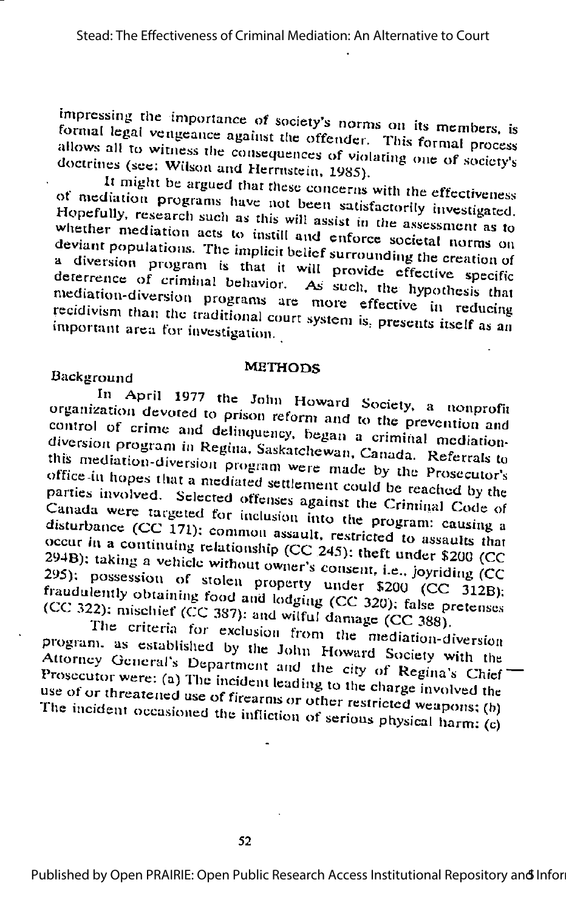impressing the importance of society's norms on its members, is formal legal vengeance against the offender. This formal process allows all to witness the consequences of violating one of society's doctrines (see: Wilson and Herrnstein, 1985).

It might be argued that these concerns with the effectiveness of mediation programs have not been satisfactorily investigated. Hopefully, research such as this will assist in the assessment as to whether mediation acts to instill and enforce societal norms on deviant populations. The implicit belief surrounding the creation of a diversion program is that it will provide effective specific deterrence of criminal behavior. As such, the hypothesis that mediation-diversion programs are more effective in reducing recidivism than the traditional court system is, presents itself as an important area for investigation.

#### **METHODS**

#### Background

In April 1977 the John Howard Society, a nonprofit organization devoted to prison reform and to the prevention and control of crime and delinquency, began a criminal mediationdiversion program in Regina, Saskatchewan, Canada. Referrals to this mediation-diversion program were made by the Prosecutor's office in hopes that a mediated settlement could be reached by the parties involved. Selected offenses against the Criminal Code of Canada were targeted for inclusion into the program: causing a disturbance (CC 171): common assault, restricted to assaults that occur in a continuing relationship (CC 245): theft under \$200 (CC 294B): taking a vehicle without owner's consent, i.e., joyriding (CC 295): possession of stolen property under \$200 (CC 312B). fraudulently obtaining food and lodging (CC 320); false pretenses (CC 322): mischief (CC 387): and wilful damage (CC 388).

The criteria for exclusion from the mediation-diversion program, as established by the John Howard Society with the Attorney General's Department and the city of Regina's Chief Prosecutor were: (a) The incident leading to the charge involved the use of or threatened use of firearms or other restricted weapons; (b) The incident occasioned the infliction of serious physical harm:  $(c)$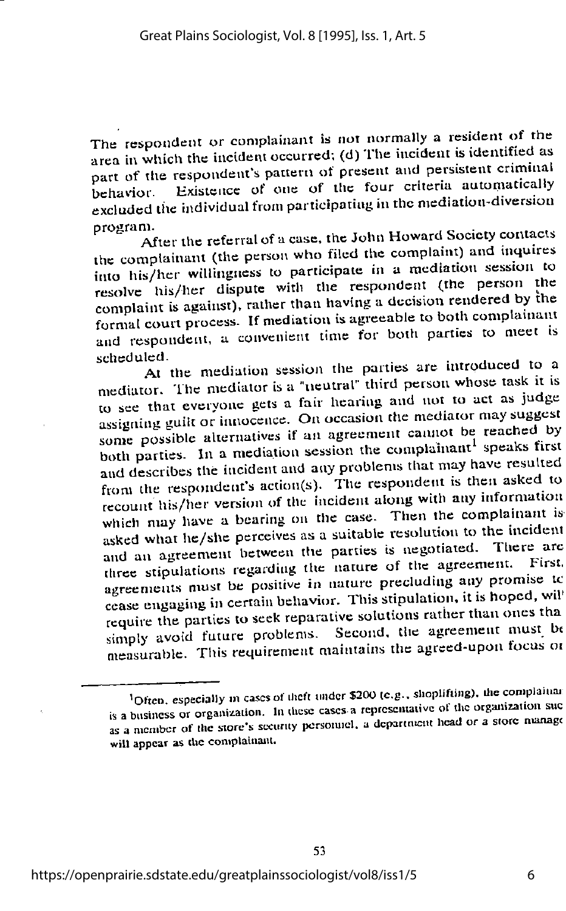The respondent or complainant is not normally a resident of the area in which the incident occurred; (d) The incident is identified as part of the respondent's pattern of present and persistent criminal behavior. Existence of one of the four criteria automatically excluded the individual from participating in the mediation-diversion program.

After the referral of a case, the John Howard Society contacts the complainant (the person who filed the complaint) and inquires into his/her willingness to participate in a mediation session to resolve his/her dispute with the respondent (the person the complaint is against), rather than having a decision rendered by the formal court process. If mediation is agreeable to both complainant and respondent, a convenient time for both parties to meet is scheduled.

At the mediation session the parties are introduced to a mediator. The mediator is a "neutral" third person whose task it is to see that everyone gets a fair hearing and not to act as judge assigning guilt or innocence. On occasion the mediator may suggest some possible alternatives if an agreement cannot be reached by both parties. In a mediation session the complainant<sup>1</sup> speaks first and describes the incident and any problems that may have resulted from the respondent's action(s). The respondent is then asked to recount his/her version of the incident along with any information which may have a bearing on the case. Then the complainant is asked what he/she perceives as a suitable resolution to the incident and an agreement between the parties is negotiated. There are three stipulations regarding the nature of the agreement. First. agreements must be positive in nature precluding any promise to cease engaging in certain behavior. This stipulation, it is hoped, will require the parties to seek reparative solutions rather than ones tha simply avoid future problems. Second, the agreement must be measurable. This requirement maintains the agreed-upon focus or

<sup>&</sup>lt;sup>1</sup>Often, especially in cases of theft under \$200 (e.g., shoplifting), the complainar is a business or organization. In these cases a representative of the organization suc as a member of the store's security personnel, a department head or a store manage will appear as the complainant.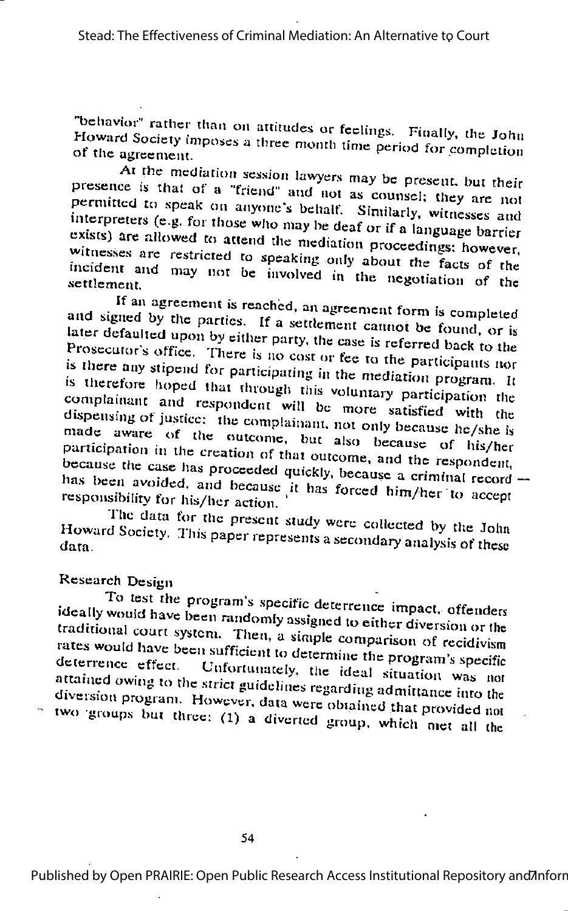"behavior" rather than on attitudes or feelings. Finally, the John Howard Society imposes a three month time period for completion of the agreement.

At the mediation session lawyers may be present, but their presence is that of a "friend" and not as counsel; they are not permitted to speak on anyone's behalf. Similarly, witnesses and interpreters (e.g. for those who may be deaf or if a language barrier exists) are allowed to attend the mediation proceedings; however, witnesses are restricted to speaking only about the facts of the incident and may not be involved in the negotiation of the settlement.

If an agreement is reached, an agreement form is completed and signed by the parties. If a settlement cannot be found, or is later defaulted upon by either party, the case is referred back to the Prosecutor's office. There is no cost or fee to the participants nor is there any stipend for participating in the mediation program. It is therefore hoped that through this voluntary participation the complainant and respondent will be more satisfied with the dispensing of justice: the complainant, not only because he/she is made aware of the outcome, but also because of his/her participation in the creation of that outcome, and the respondent, because the case has proceeded quickly, because a criminal record has been avoided, and because it has forced him/her to accept responsibility for his/her action.

The data for the present study were collected by the John Howard Society. This paper represents a secondary analysis of these

## Research Design

To test the program's specific deterrence impact, offenders ideally would have been randomly assigned to either diversion or the traditional court system. Then, a simple comparison of recidivism rates would have been sufficient to determine the program's specific deterrence effect. Unfortunately, the ideal situation was not attained owing to the strict guidelines regarding admittance into the diversion program. However, data were obtained that provided not

two groups but three: (1) a diverted group, which met all the

Published by Open PRAIRIE: Open Public Research Access Institutional Repository and Anforr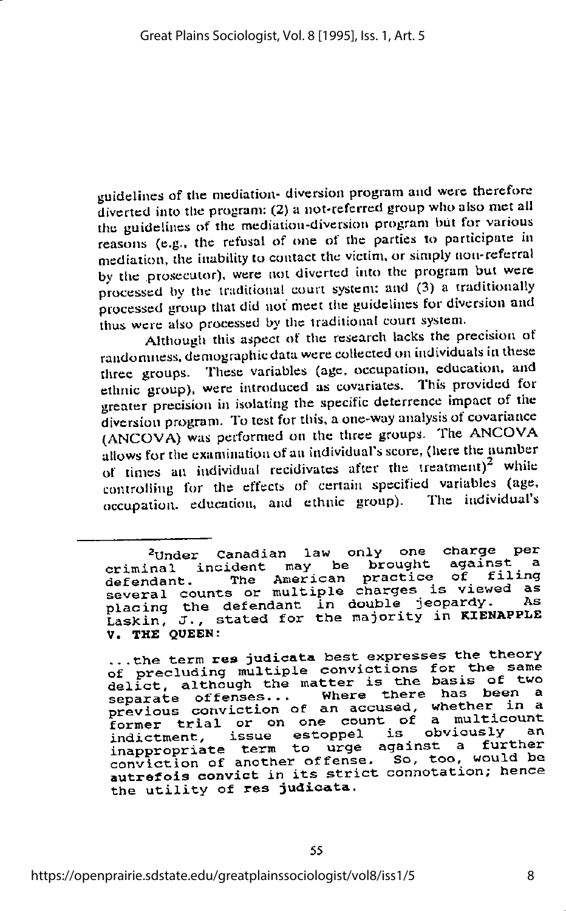guidelines of the mediation- diversion program and were therefore diverted into tlie program: (2) a not-referred groupwlio also met all the guidelines of the mediation-diversion program but for various reasons (e.g.. the refusal of one of the parties to participate in mediation, the inability to contact the victim, or simply non-referral by the prosecutor), were not diverted into the program but were<br>processed by the traditional court system: and (3) a traditionally processed group that did not meet the guidelines for diversion and thus were also processed by the traditional court system.

Although this aspect of the research lacks the precision of randomness, demographic data were collected on individuals in these three groups. These variables (age. occupation, education, and ethnic group), were introduced as covariates. This provided for greater precision in isolating the specific deterrence impact of the diversion program. To test for this, a one-way analysis of covariance (ANCOVA) was performed on the three groups. The ANCOVA allows for the examination of an individual's score, (here the number of times an individual recidivates after the treatment)<sup>2</sup> while controlling for the effects of certain specified variables (age, occupation. education, and ethnic group). The individual's

<sup>&</sup>lt;sup>2</sup>Under Canadian law only one charge per criminal incident may be brought<br>defendant. The American practice The American practice of filing defendant. The multiple charges is viewed as<br>several counts or multiple charges is viewed as placing the defendant in double jeopardy. As Laskin, J., stated for the majority in KIENAPPLE V. THE QUEEN:

<sup>...</sup> the term res judicata best expresses the theory<br>of precluding multiple convictions for the same delict, although the matter is the basis of two separate offenses... Where there has been a previous conviction of an accused, whether in a former trial or on one count of a multicount<br>indictment issue estoppel is obviously an rormer trial of on one count<br>indictment, issue estoppel is obviously an inappropriate term to urge against a further conviction of another offense. So, too, would be autrefois convict in its strict connotation; hence the utility of res judicata.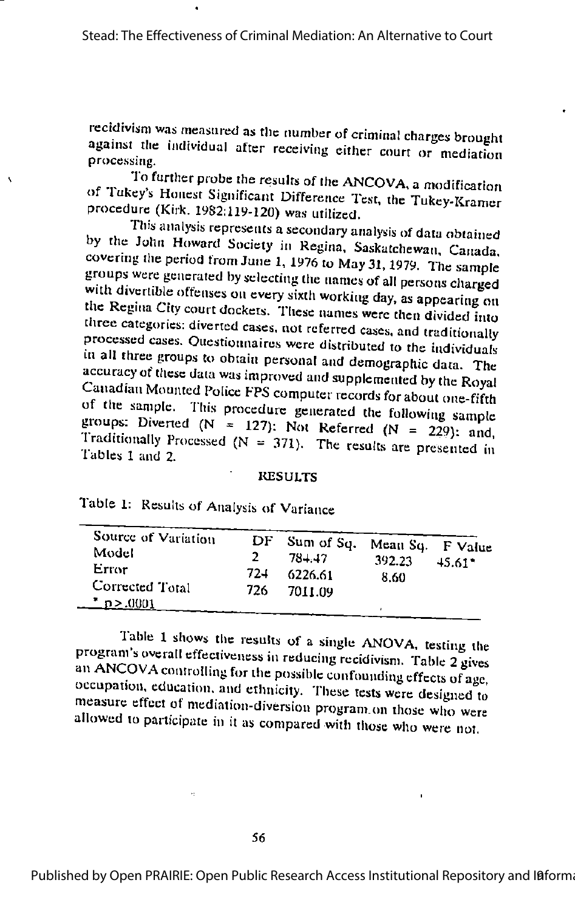$\ddot{\phantom{0}}$ 

۸

recidivism was measured as the number of criminal charges brought against the individual after receiving either court or mediation processing.

To further probe the results of the ANCOVA, a modification of Tukey's Honest Significant Difference Test, the Tukey-Kramer procedure (Kirk. 1982:119-120) was utilized.

This analysis represents a secondary analysis of data obtained by the John Howard Society in Regina, Saskatchewan, Canada, covering the period from June 1, 1976 to May 31, 1979. The sample groups were generated by selecting the names of all persons charged with divertible offenses on every sixth working day, as appearing on the Regina City court dockets. These names were then divided into three categories: diverted cases, not referred cases, and traditionally processed cases. Questionnaires were distributed to the individuals in all three groups to obtain personal and demographic data. The accuracy of these data was improved and supplemented by the Royal Canadian Mounted Police FPS computer records for about one-fifth of the sample. This procedure generated the following sample groups: Diverted (N = 127): Not Referred (N = 229): and, Traditionally Processed ( $N = 371$ ). The results are presented in Tables 1 and 2.

#### **RESULTS**

| Source of Variation<br>Model<br>Error<br>Corrected Total<br>$\frac{\text{*}}{\text{} \cdot \text{0}}$ .0001 | 724<br>726 | $DF$ Sum of Sq.<br>$78 - 17$<br>6226.61<br>7011.09 | Mean Sq. F Value<br>392.23<br>8.60 | $45.61 -$ |
|-------------------------------------------------------------------------------------------------------------|------------|----------------------------------------------------|------------------------------------|-----------|
|-------------------------------------------------------------------------------------------------------------|------------|----------------------------------------------------|------------------------------------|-----------|

Table 1: Results of Analysis of Variance

Table 1 shows the results of a single ANOVA, testing the program's overall effectiveness in reducing recidivism. Table 2 gives an ANCOVA controlling for the possible confounding effects of age, occupation, education, and ethnicity. These tests were designed to measure effect of mediation-diversion program on those who were allowed to participate in it as compared with those who were not.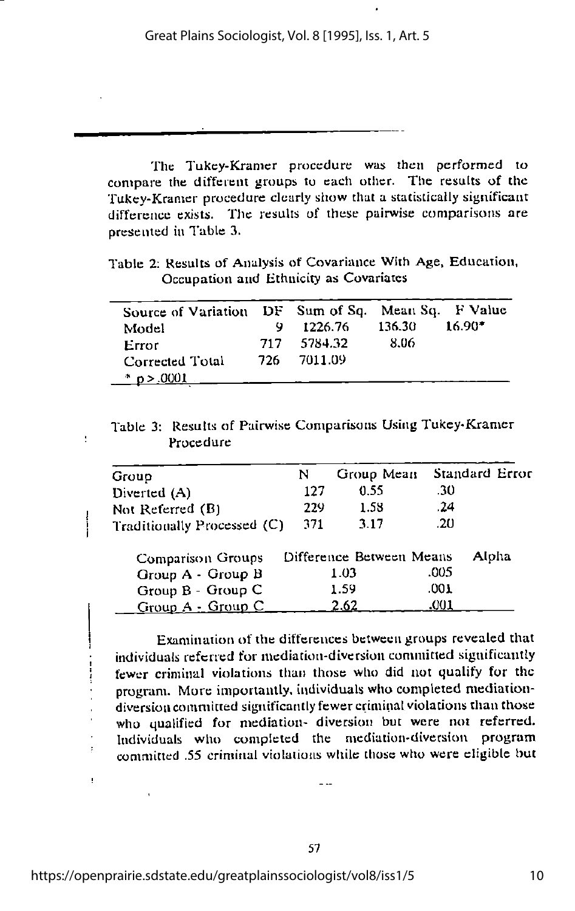The Tukey-Kramer procedure was then performed to compare the different groups to each other. The results of the Tukey-Kranier procedure clearly show that a statistically significant difference exists. The results of these pairwise comparisons are presented in Table 3.

Table 2: Results of Analysis of Covariance With Age, Education, Occupation and Ethnicity as Covariatcs

| Source of Variation DF Sum of Sq. Mean Sq. F Value<br>Model |     | 1226.76     | 136.30 | $16.90*$ |
|-------------------------------------------------------------|-----|-------------|--------|----------|
| Error                                                       |     | 717 5784.32 | -8.06  |          |
| Corrected Total                                             | 726 | -- 7011.09  |        |          |
| $\frac{*}{2}$ p > .0001                                     |     |             |        |          |

Table 3: Results of Pairwise Comparisons Using Tukey-Kramer Procedure

| Group                         | N   | Group Mean               |      | Standard Error |
|-------------------------------|-----|--------------------------|------|----------------|
| Diverted (A)                  | 127 | 0.55                     | .30  |                |
| Not Referred (B)              | 229 | 1.58                     | .24  |                |
| Traditionally Processed $(C)$ | 371 | 3.17                     | .20  |                |
| <b>Comparison Groups</b>      |     | Difference Between Means |      | Alpha          |
| Group A - Group B             |     | 1.03                     | .005 |                |
| Group B - Group C             |     | 1.59                     | .001 |                |
| Group A - Group C             |     | 2.62                     | .001 |                |

Examination of the differences between groups revealed that individuals referred for mediation-diversion committed significantly fewer criminal violations than those who did not qualify for the program. More imporiaiuly. individuals who completed mediationdiversion committed significantly fewer criminal violations than those who qualified for mediation- diversion but were not referred. Individuals who completed the mediation-diversion program committed .55 criminal violations while those who were eligible but

 $\ddot{\phantom{a}}$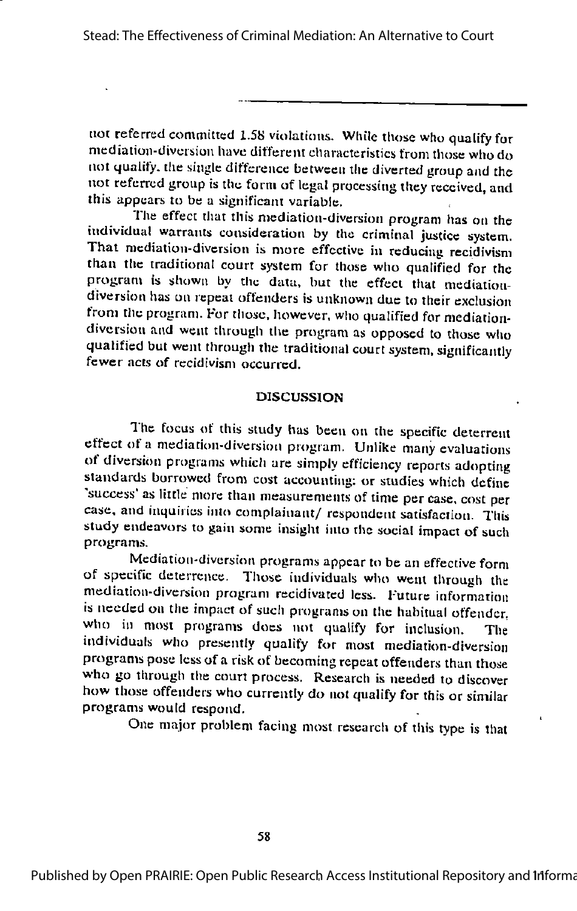not referred committed 1.58 violations. While those who qualify for mediation-diversion have different characteristics from those whodo not quality, the single difference between the diverted group and the not referred group is the form of legal processing they received, and this appears to be a significant variable.

The effect that this mediation-diversion program has on the individual warrants consideration by the criminal justice system. That mediation-diversion is more effective in reducing recidivism than the traditional court system for those who qualified for the program is shown by the data, but the effect that mediationdiversion has on repeal offenders is unknown due to their exclusion from the program. For those, however, who qualified for mediationdiversion and went through the program as opposed to those who qualified but went through the traditional court system, significantly fewer acts of recidivism occurred.

#### **DISCUSSION**

The focus of this study has been on the specific deterrent effect of a mediation-diversion program. Unlike many evaluations of diversion programs which arc simply efficiency reports adopting standards borrowed from cost accounting: or studies which define 'success' as little more than measurements of time per case, cost per case, and inquiries into complainant/ respondent satisfaction. This study endeavors to gain some insight into the social impact of such programs.

Mediation-diversion programs appear to be an effective form of specific deterrence. Those individuals who went through the mediation-diversion program rccidivatcd less. Future information is needed on the impact of such programs on the habitual offender, who in most programs does not qualify for inclusion. The individuals who presently qualify for most mediation-diversion programs pose less of a risk of becoming repeat offenders than those who go through the court process. Research is needed to discover how those offenders who currently do not qualify for this or similar programs would respond.

One major problem facing most research of this type is that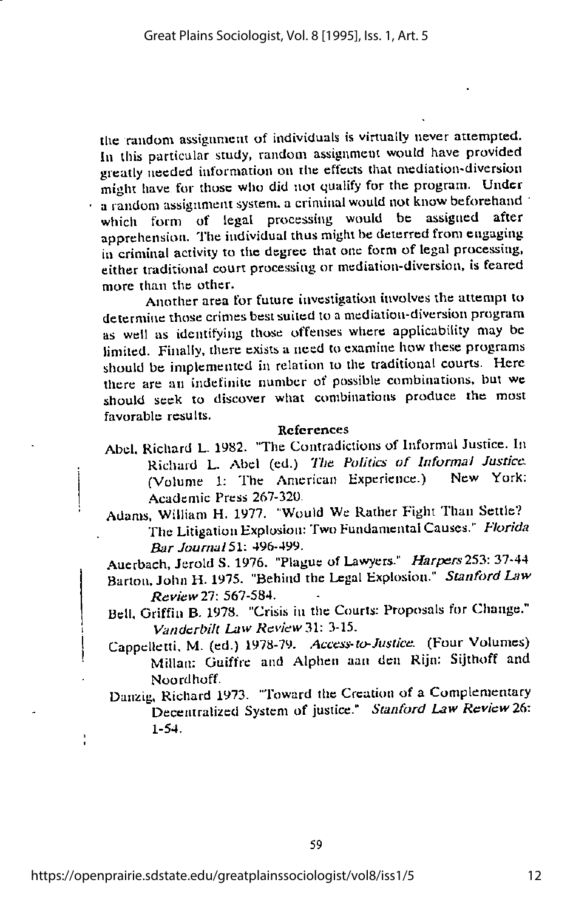the random assignment of individuals is virtually never attempted.<br>In this particular study, random assignment would have provided greatly needed information on the effects that mediation-diversion might have for those who did not qualify for the program. Under a random assignment system, a criminal would not know beforehand<br>which form of legal processing would be assigned after apprehension. The individual thus might be deterred from engaging in criminal activity to the degree that one form of legal processing, either traditional court processing or mediation-diversion, is feared more than the other.

Another area for future investigation involves the attempt to determine those crimes best suited to a mediation-diversion program as well as identifying those offenses where applicability may be limited. Finally, there exists a need to examine how these programs should be implemented in relation to the traditional courts. Here there are an indefinite number of possible combinations, but we should seek to discover what combinations produce the most favorable results.

#### References

- Abel, Richard L. 1982. "The Contradictions of Informal Justice. In Richard L. Abel (ed.) The Politics of Informal Justice. (Volume 1: The American Experience.) New York: Academic Press 267-320.
- Adams, William H. 1977. "Would We Rather Fight Than Settle? The Litigation Explosion: Two Fundamental Causes." Florida Bar Journal 51: 496-499.

Auerbach, Jerold S. 1976. "Plague of Lawyers." Harpers 253: 31-44 Barton. John H. 1975. "Behind the Legal Explosion." Stanford Law Review 21: 567-584.

Bell, Griffin B. 1978. "Crisis in the Courts; Proposals for Change." Vanderbilt Law Review 31: 3-15.

Cappclleiti. M. (ed.) 1978-79. Access-to-Justice. (Four Volumes) Millan: Guiffre and Alphen aaa den Rljn: Sijthoff and Noord hoff.

Danzig, Richard 1973. "Toward the Creation of a Complementary Decentralized System of justice." Stanford Law Review 26: 1-54.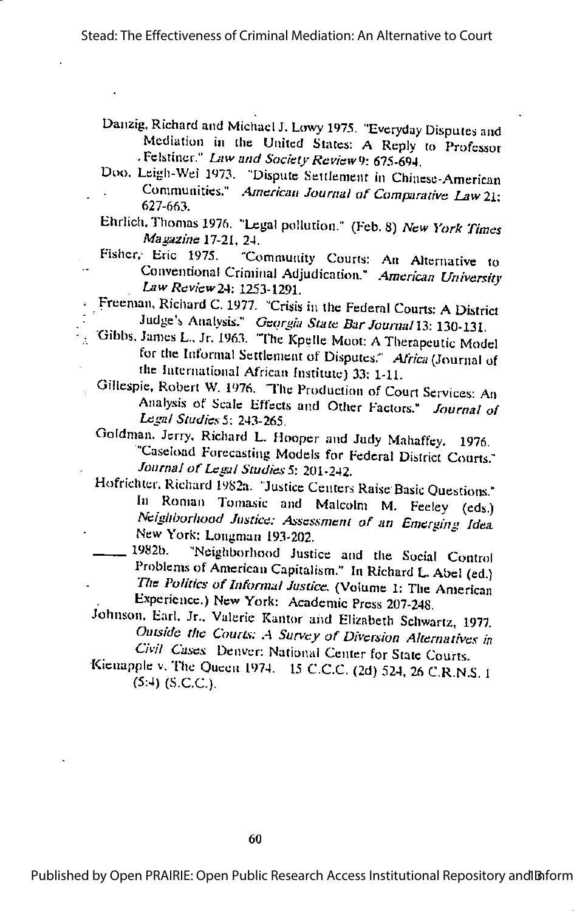Danzig. Richard and Michael J. Lowy 1975. "Everyday Disputes and Mediation in the United States: A Reply to Professor -Felstincr." Law and Society Review 9: 675-694.

- Doo. Leigh-Wei 1973. "Dispute Settlement in Chinese-American Communities." American Journal of Comparative Law 21: 627-663.
- Ehrlich. Thomas 1976. "Legal pollution." (Feb. 8) New York Times Magazine 17-21, 24.
- Fisher, Eric 1975. "Community Courts; An Alternative to Conventional Criminal Adjudication." American University Law Review2A: 1253-1291.
- Freeman, Richard C. 1977. "Crisis in the Federal Courts: ADistrict Judge's Analysis." Georgia State Bar Journal 13: 130-131.
- Gibbs. James L., Jr. 1963. "The Kpelle Moot: ATherapeutic Model for the Informal Settlement of Disputes." Africa (Journal of the International African Institute) 33: 1-11.
	- Gillespie, Robert W. 1976. "The Production of Court Services: An Analysis of Scale Effects and Other Factors." Journal of Legal Studies 5: 243-265.
	- Goldman. Jerry. Richard L. Hooper and Judy Mahaffcy. 1976. "Caseload Forecasting Models for Federal District Courts." Journal of Legal Studies 5: 201-242.
	- Hofrichter. Richard 1982a. "Justice Centers Raise Basic Questions." In Roman Tomasic and Malcolm M. Feeley (eds.) Neighborhood Justice: Assessment of an Emerging Idea New York: Longman 193-202. ^
	- 1982b. "Neighborhood Justice and the Social Control Problems of American Capitalism." In Richard L. Abel (ed.) The Politics of Informal Justice, (Volume 1: The American Experience.) New York: Academic Press 207-248.
	- Johnson. Earl. Jr.. Valerie Kantor aiid Elizabeth Schwartz, 1977. Outside the Courts: A Survey of Diversion Alternatives in Civil Cases Denver: National Center for State Courts
	- Kicnappic v. The Queen 1974. <sup>15</sup> C.C.C. (2d) 524 26 CR NS 1 (5:4) (S.C.C.).